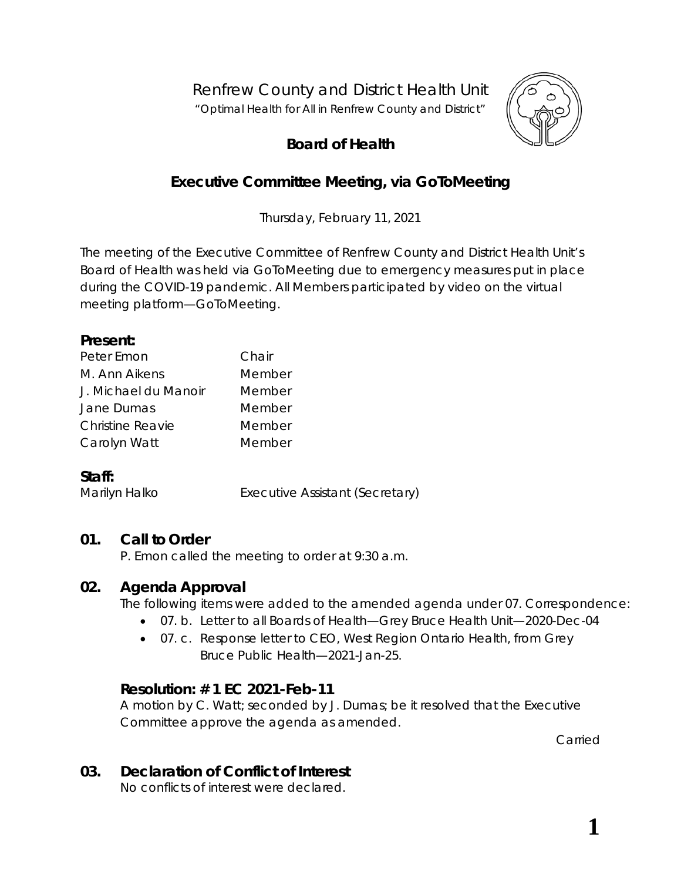Renfrew County and District Health Unit

*"Optimal Health for All in Renfrew County and District"*



# **Board of Health**

# **Executive Committee Meeting, via GoToMeeting**

Thursday, February 11, 2021

The meeting of the Executive Committee of Renfrew County and District Health Unit's Board of Health was held via GoToMeeting due to emergency measures put in place during the COVID-19 pandemic. All Members participated by video on the virtual meeting platform—*GoToMeeting*.

#### **Present:**

| Chair  |
|--------|
| Member |
| Member |
| Member |
| Member |
| Member |
|        |

#### **Staff:**

Marilyn Halko **Executive Assistant (Secretary)** 

## **01. Call to Order**

P. Emon called the meeting to order at 9:30 a.m.

## **02. Agenda Approval**

The following items were added to the amended agenda under 07. Correspondence:

- 07. b. Letter to all Boards of Health—Grey Bruce Health Unit—2020-Dec-04
- 07. c. Response letter to CEO, West Region Ontario Health, from Grey Bruce Public Health—2021-Jan-25.

## **Resolution: # 1 EC 2021-Feb-11**

A motion by C. Watt; seconded by J. Dumas; be it resolved that the Executive Committee approve the agenda as amended.

Carried

## **03. Declaration of Conflict of Interest**

No conflicts of interest were declared.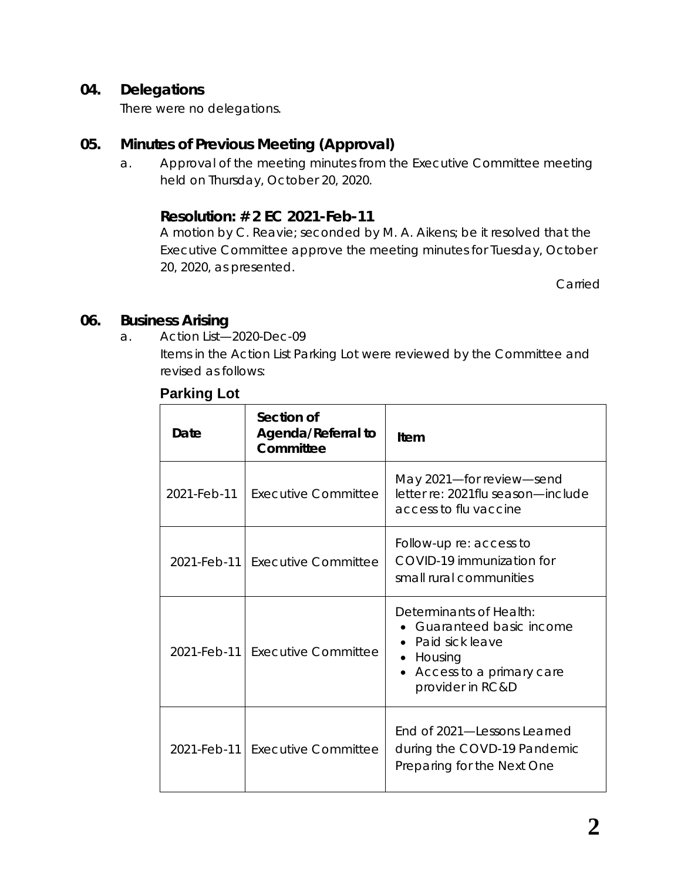#### **04. Delegations**

There were no delegations.

## **05. Minutes of Previous Meeting (Approval)**

a. Approval of the meeting minutes from the Executive Committee meeting held on Thursday, October 20, 2020.

#### **Resolution: # 2 EC 2021-Feb-11**

A motion by C. Reavie; seconded by M. A. Aikens; be it resolved that the Executive Committee approve the meeting minutes for Tuesday, October 20, 2020, as presented.

Carried

#### **06. Business Arising**

a. Action List—2020-Dec-09

Items in the Action List Parking Lot were reviewed by the Committee and revised as follows:

#### **Parking Lot**

| Date              | Section of<br>Agenda/Referral to<br>Committee | Item                                                                                                                               |  |
|-------------------|-----------------------------------------------|------------------------------------------------------------------------------------------------------------------------------------|--|
| 2021-Feb-11       | Executive Committee                           | May 2021-for review-send<br>letter re: 2021flu season-include<br>access to flu vaccine                                             |  |
|                   | 2021-Feb-11 Executive Committee               | Follow-up re: access to<br>COVID-19 immunization for<br>small rural communities                                                    |  |
| $2021 - Feb - 11$ | Executive Committee                           | Determinants of Health:<br>Guaranteed basic income<br>Paid sick leave<br>• Housing<br>Access to a primary care<br>provider in RC&D |  |
| 2021-Feb-11 l     | Executive Committee                           | End of 2021—Lessons Learned<br>during the COVD-19 Pandemic<br>Preparing for the Next One                                           |  |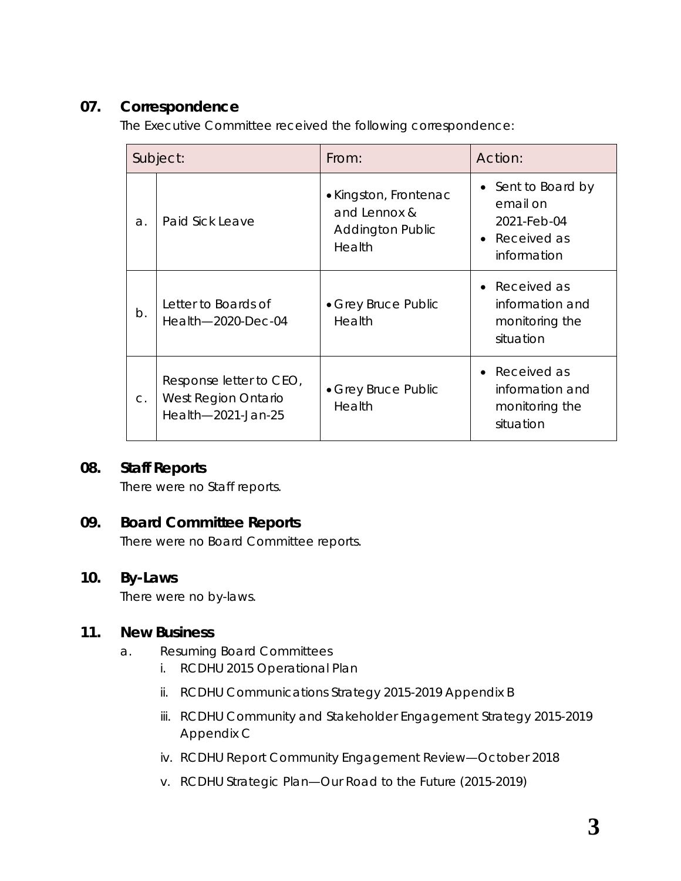# **07. Correspondence**

The Executive Committee received the following correspondence:

| Subject: |                                                                          | From:                                                                      | Action:                                                                     |
|----------|--------------------------------------------------------------------------|----------------------------------------------------------------------------|-----------------------------------------------------------------------------|
| a.       | Paid Sick Leave                                                          | • Kingston, Frontenac<br>and Lennox &<br><b>Addington Public</b><br>Health | • Sent to Board by<br>email on<br>2021-Feb-04<br>Received as<br>information |
| $b$ .    | Letter to Boards of<br>Health-2020-Dec-04                                | • Grey Bruce Public<br>Health                                              | • Received as<br>information and<br>monitoring the<br>situation             |
| $C$ .    | Response letter to CEO,<br>West Region Ontario<br>Health $-2021$ -Jan-25 | • Grey Bruce Public<br>Health                                              | Received as<br>information and<br>monitoring the<br>situation               |

## **08. Staff Reports**

There were no Staff reports.

# **09. Board Committee Reports**

There were no Board Committee reports.

#### **10. By-Laws**

There were no by-laws.

#### **11. New Business**

- a. Resuming Board Committees
	- i. RCDHU 2015 Operational Plan
	- ii. RCDHU Communications Strategy 2015-2019 Appendix B
	- iii. RCDHU Community and Stakeholder Engagement Strategy 2015-2019 Appendix C
	- iv. RCDHU Report Community Engagement Review—October 2018
	- v. RCDHU Strategic Plan—Our Road to the Future (2015-2019)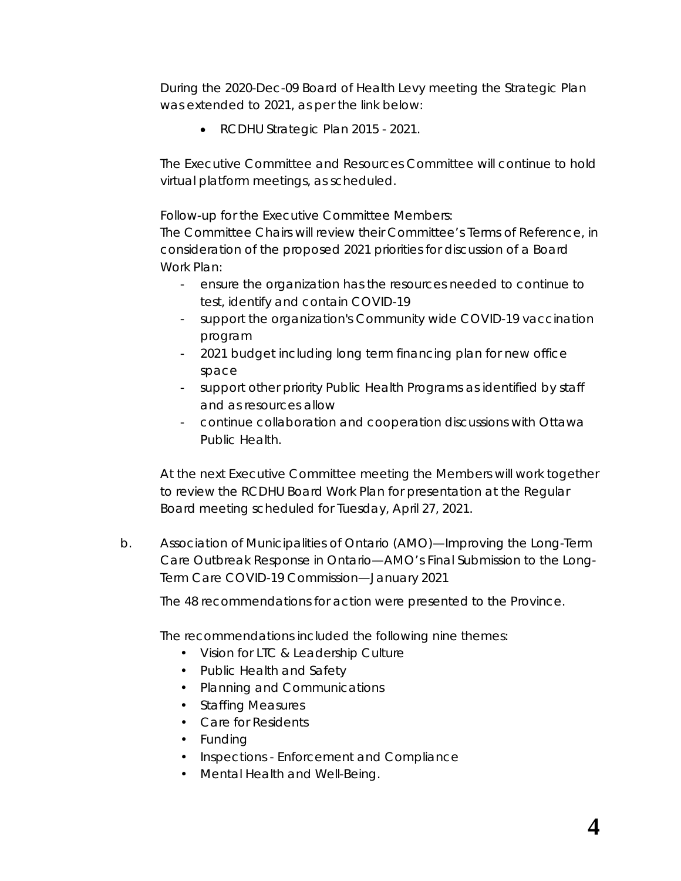During the 2020-Dec-09 Board of Health Levy meeting the Strategic Plan was extended to 2021, as per the link below:

• RCDHU Strategic Plan 2015 - 2021.

The Executive Committee and Resources Committee will continue to hold virtual platform meetings, as scheduled.

Follow-up for the Executive Committee Members:

The Committee Chairs will review their Committee's Terms of Reference, in consideration of the proposed 2021 priorities for discussion of a Board Work Plan:

- ensure the organization has the resources needed to continue to test, identify and contain COVID-19
- support the organization's Community wide COVID-19 vaccination program
- 2021 budget including long term financing plan for new office space
- support other priority Public Health Programs as identified by staff and as resources allow
- continue collaboration and cooperation discussions with Ottawa Public Health.

At the next Executive Committee meeting the Members will work together to review the RCDHU Board Work Plan for presentation at the Regular Board meeting scheduled for Tuesday, April 27, 2021.

b. Association of Municipalities of Ontario (AMO)—Improving the Long-Term Care Outbreak Response in Ontario—AMO's Final Submission to the Long-Term Care COVID-19 Commission—January 2021

The 48 recommendations for action were presented to the Province.

The recommendations included the following nine themes:

- Vision for LTC & Leadership Culture
- Public Health and Safety
- Planning and Communications
- Staffing Measures
- Care for Residents
- Funding
- Inspections Enforcement and Compliance
- Mental Health and Well-Being.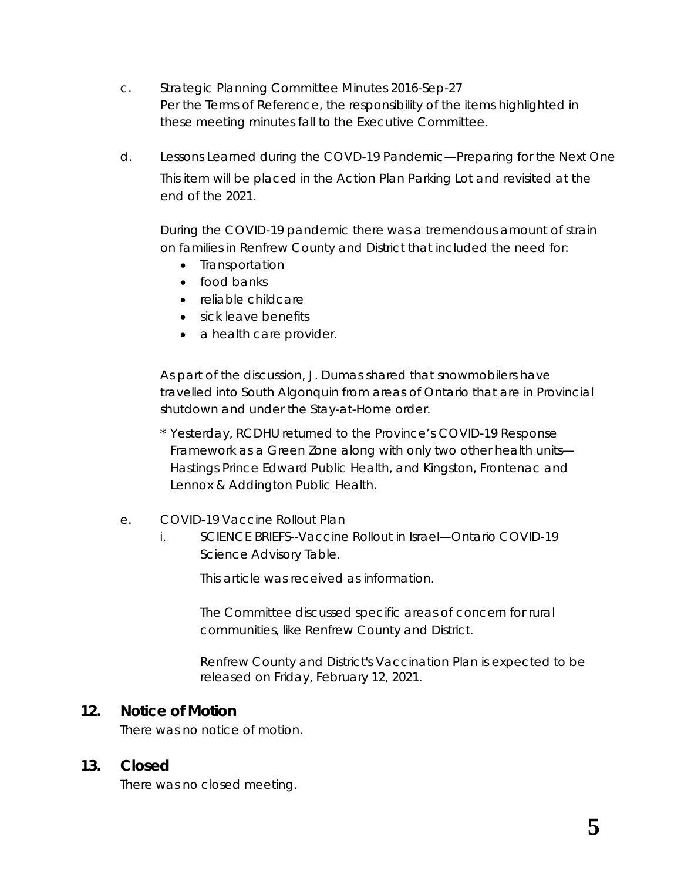- c. Strategic Planning Committee Minutes 2016-Sep-27 Per the Terms of Reference, the responsibility of the items highlighted in these meeting minutes fall to the Executive Committee.
- d. Lessons Learned during the COVD-19 Pandemic—Preparing for the Next One This item will be placed in the Action Plan Parking Lot and revisited at the end of the 2021.

During the COVID-19 pandemic there was a tremendous amount of strain on families in Renfrew County and District that included the need for:

- Transportation
- food banks
- reliable childcare
- sick leave benefits
- a health care provider.

As part of the discussion, J. Dumas shared that snowmobilers have travelled into South Algonquin from areas of Ontario that are in Provincial shutdown and under the Stay-at-Home order.

- \* Yesterday, RCDHU returned to the Province's COVID-19 Response Framework as a *Green Zone* along with only two other health units— Hastings Prince Edward Public Health, and Kingston, Frontenac and Lennox & Addington Public Health.
- e. COVID-19 Vaccine Rollout Plan
	- i. SCIENCE BRIEFS--Vaccine Rollout in Israel—Ontario COVID-19 Science Advisory Table.

This article was received as information.

The Committee discussed specific areas of concern for rural communities, like Renfrew County and District.

Renfrew County and District's Vaccination Plan is expected to be released on Friday, February 12, 2021.

#### **12. Notice of Motion**

There was no notice of motion.

#### **13. Closed**

There was no closed meeting.